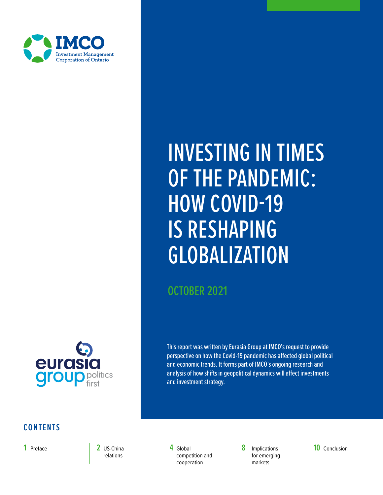<span id="page-0-0"></span>

# INVESTING IN TIMES OF THE PANDEMIC: HOW COVID-19 IS RESHAPING GLOBALIZATION

OCTOBER 2021



This report was written by Eurasia Group at IMCO's request to provide perspective on how the Covid-19 pandemic has affected global political and economic trends. It forms part of IMCO's ongoing research and analysis of how shifts in geopolitical dynamics will affect investments and investment strategy.

#### **CONTENTS**

**2** [US-China](#page-3-0) [relations](#page-2-1)

**1** [Preface](#page-2-0) **8 2** US-China **8 4** Global **8** Implications **4** [Global](#page-4-0) **10** [Conclusion](#page-10-0) [competition and](#page-8-1)  [cooperation](#page-4-0)

[for emerging](#page-8-0)  [markets](#page-8-0)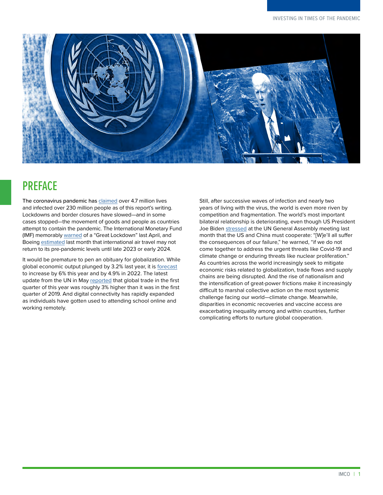

## <span id="page-1-0"></span>**PREFACE**

The coronavirus pandemic has [claimed](https://coronavirus.jhu.edu/map.html) over 4.7 million lives and infected over 230 million people as of this report's writing. Lockdowns and border closures have slowed—and in some cases stopped—the movement of goods and people as countries attempt to contain the pandemic. The International Monetary Fund (IMF) memorably [warned](https://blogs.imf.org/2020/04/14/the-great-lockdown-worst-economic-downturn-since-the-great-depression/) of a "Great Lockdown" last April, and Boeing [estimated](https://www.bbc.com/news/business-58560821) last month that international air travel may not return to its pre-pandemic levels until late 2023 or early 2024.

It would be premature to pen an obituary for globalization. While global economic output plunged by 3.2% last year, it is [forecast](https://www.imf.org/en/Publications/WEO/Issues/2021/07/27/world-economic-outlook-update-july-2021) to increase by 6% this year and by 4.9% in 2022. The latest update from the UN in May [reported](https://unctad.org/system/files/official-document/ditcinf2021d2_en.pdf) that global trade in the first quarter of this year was roughly 3% higher than it was in the first quarter of 2019. And digital connectivity has rapidly expanded as individuals have gotten used to attending school online and working remotely.

Still, after successive waves of infection and nearly two years of living with the virus, the world is even more riven by competition and fragmentation. The world's most important bilateral relationship is deteriorating, even though US President Joe Biden [stressed](https://www.whitehouse.gov/briefing-room/speeches-remarks/2021/09/21/remarks-by-president-biden-before-the-76th-session-of-the-united-nations-general-assembly/) at the UN General Assembly meeting last month that the US and China must cooperate: "[W]e'll all suffer the consequences of our failure," he warned, "if we do not come together to address the urgent threats like Covid-19 and climate change or enduring threats like nuclear proliferation." As countries across the world increasingly seek to mitigate economic risks related to globalization, trade flows and supply chains are being disrupted. And the rise of nationalism and the intensification of great-power frictions make it increasingly difficult to marshal collective action on the most systemic challenge facing our world—climate change. Meanwhile, disparities in economic recoveries and vaccine access are exacerbating inequality among and within countries, further complicating efforts to nurture global cooperation.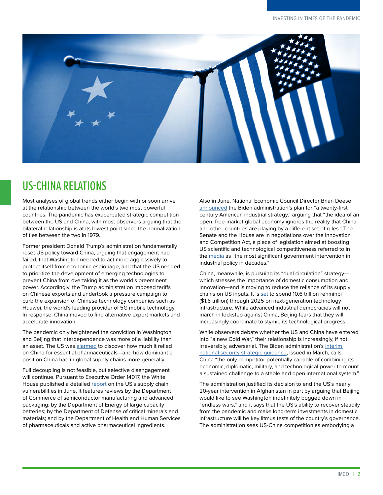<span id="page-2-0"></span>

## <span id="page-2-1"></span>US-CHINA RELATIONS

Most analyses of global trends either begin with or soon arrive at the relationship between the world's two most powerful countries. The pandemic has exacerbated strategic competition between the US and China, with most observers arguing that the bilateral relationship is at its lowest point since the normalization of ties between the two in 1979.

Former president Donald Trump's administration fundamentally reset US policy toward China, arguing that engagement had failed, that Washington needed to act more aggressively to protect itself from economic espionage, and that the US needed to prioritize the development of emerging technologies to prevent China from overtaking it as the world's preeminent power. Accordingly, the Trump administration imposed tariffs on Chinese exports and undertook a pressure campaign to curb the expansion of Chinese technology companies such as Huawei, the world's leading provider of 5G mobile technology. In response, China moved to find alternative export markets and accelerate innovation.

The pandemic only heightened the conviction in Washington and Beijing that interdependence was more of a liability than an asset. The US was [alarmed](https://www.nytimes.com/2020/03/11/business/economy/coronavirus-china-trump-drugs.html) to discover how much it relied on China for essential pharmaceuticals—and how dominant a position China had in global supply chains more generally.

Full decoupling is not feasible, but selective disengagement will continue. Pursuant to Executive Order 14017, the White House published a detailed [report](https://www.whitehouse.gov/wp-content/uploads/2021/06/100-day-supply-chain-review-report.pdf) on the US's supply chain vulnerabilities in June. It features reviews by the Department of Commerce of semiconductor manufacturing and advanced packaging; by the Department of Energy of large capacity batteries; by the Department of Defense of critical minerals and materials; and by the Department of Health and Human Services of pharmaceuticals and active pharmaceutical ingredients.

Also in June, National Economic Council Director Brian Deese [announced](https://www.atlanticcouncil.org/commentary/transcript/the-biden-white-house-plan-for-a-new-us-industrial-policy/) the Biden administration's plan for "a twenty-first century American industrial strategy," arguing that "the idea of an open, free-market global economy ignores the reality that China and other countries are playing by a different set of rules." The Senate and the House are in negotiations over the Innovation and Competition Act, a piece of legislation aimed at boosting US scientific and technological competitiveness referred to in the [media](https://www.nytimes.com/2021/06/08/us/politics/china-bill-passes.html) as "the most significant government intervention in industrial policy in decades."

China, meanwhile, is pursuing its "dual circulation" strategy which stresses the importance of domestic consumption and innovation—and is moving to reduce the reliance of its supply chains on US inputs. It is [set](https://asia.nikkei.com/Business/China-tech/China-to-pump-1.6tn-into-tech-infrastructure-through-2025) to spend 10.6 trillion renminbi (\$1.6 trillion) through 2025 on next-generation technology infrastructure. While advanced industrial democracies will not march in lockstep against China, Beijing fears that they will increasingly coordinate to stymie its technological progress.

While observers debate whether the US and China have entered into "a new Cold War," their relationship is increasingly, if not irreversibly, adversarial. The Biden administration's [interim](https://www.whitehouse.gov/wp-content/uploads/2021/03/NSC-1v2.pdf)  [national security strategic guidance](https://www.whitehouse.gov/wp-content/uploads/2021/03/NSC-1v2.pdf), issued in March, calls China "the only competitor potentially capable of combining its economic, diplomatic, military, and technological power to mount a sustained challenge to a stable and open international system."

The administration justified its decision to end the US's nearly 20-year intervention in Afghanistan in part by arguing that Beijing would like to see Washington indefinitely bogged down in "endless wars," and it says that the US's ability to recover steadily from the pandemic and make long-term investments in domestic infrastructure will be key litmus tests of the country's governance. The administration sees US-China competition as embodying a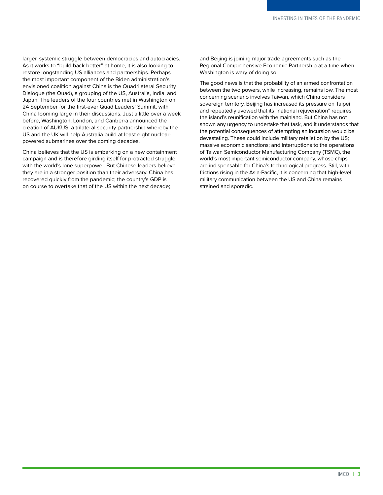<span id="page-3-0"></span>larger, systemic struggle between democracies and autocracies. As it works to "build back better" at home, it is also looking to restore longstanding US alliances and partnerships. Perhaps the most important component of the Biden administration's envisioned coalition against China is the Quadrilateral Security Dialogue (the Quad), a grouping of the US, Australia, India, and Japan. The leaders of the four countries met in Washington on 24 September for the first-ever Quad Leaders' Summit, with China looming large in their discussions. Just a little over a week before, Washington, London, and Canberra announced the creation of AUKUS, a trilateral security partnership whereby the US and the UK will help Australia build at least eight nuclearpowered submarines over the coming decades.

China believes that the US is embarking on a new containment campaign and is therefore girding itself for protracted struggle with the world's lone superpower. But Chinese leaders believe they are in a stronger position than their adversary. China has recovered quickly from the pandemic; the country's GDP is on course to overtake that of the US within the next decade;

and Beijing is joining major trade agreements such as the Regional Comprehensive Economic Partnership at a time when Washington is wary of doing so.

The good news is that the probability of an armed confrontation between the two powers, while increasing, remains low. The most concerning scenario involves Taiwan, which China considers sovereign territory. Beijing has increased its pressure on Taipei and repeatedly avowed that its "national rejuvenation" requires the island's reunification with the mainland. But China has not shown any urgency to undertake that task, and it understands that the potential consequences of attempting an incursion would be devastating. These could include military retaliation by the US; massive economic sanctions; and interruptions to the operations of Taiwan Semiconductor Manufacturing Company (TSMC), the world's most important semiconductor company, whose chips are indispensable for China's technological progress. Still, with frictions rising in the Asia-Pacific, it is concerning that high-level military communication between the US and China remains strained and sporadic.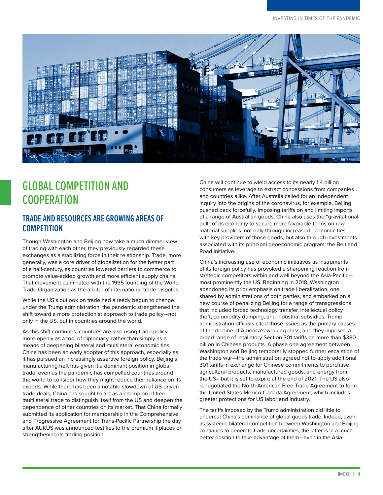

# <span id="page-4-0"></span>GLOBAL COMPETITION AND **COOPERATION**

#### **TRADE AND RESOURCES ARE GROWING AREAS OF COMPETITION**

Though Washington and Beijing now take a much dimmer view of trading with each other, they previously regarded these exchanges as a stabilizing force in their relationship. Trade, more generally, was a core driver of globalization for the better part of a half-century, as countries lowered barriers to commerce to promote value-added growth and more efficient supply chains. That movement culminated with the 1995 founding of the World Trade Organization as the arbiter of international trade disputes.

While the US's outlook on trade had already begun to change under the Trump administration, the pandemic strengthened the shift toward a more protectionist approach to trade policy—not only in the US, but in countries around the world.

As this shift continues, countries are also using trade policy more openly as a tool of diplomacy, rather than simply as a means of deepening bilateral and multilateral economic ties. China has been an early adopter of this approach, especially as it has pursued an increasingly assertive foreign policy. Beijing's manufacturing heft has given it a dominant position in global trade, even as the pandemic has compelled countries around the world to consider how they might reduce their reliance on its exports. While there has been a notable slowdown of US-driven trade deals, China has sought to act as a champion of free, multilateral trade to distinguish itself from the US and deepen the dependence of other countries on its market. That China formally submitted its application for membership in the Comprehensive and Progressive Agreement for Trans-Pacific Partnership the day after AUKUS was announced testifies to the premium it places on strengthening its trading position.

China will continue to wield access to its nearly 1.4 billion consumers as leverage to extract concessions from companies and countries alike. After Australia called for an independent inquiry into the origins of the coronavirus, for example, Beijing pushed back forcefully, imposing tariffs on and limiting imports of a range of Australian goods. China also uses the "gravitational pull" of its economy to secure more favorable terms on raw material supplies, not only through increased economic ties with key providers of those goods, but also through investments associated with its principal geoeconomic program: [the Belt and](https://www.cfr.org/backgrounder/chinas-massive-belt-and-road-initiative)  [Road Initiative](https://www.cfr.org/backgrounder/chinas-massive-belt-and-road-initiative).

China's increasing use of economic initiatives as instruments of its foreign policy has provoked a sharpening reaction from strategic competitors within and well beyond the Asia-Pacific most prominently the US. Beginning in 2018, Washington abandoned its prior emphasis on trade liberalization, one shared by administrations of both parties, and embarked on a new course of penalizing Beijing for a range of transgressions that included forced technology transfer, intellectual policy theft, commodity dumping, and industrial subsidies. Trump administration officials cited those issues as the primary causes of the decline of America's working class, and they imposed a broad range of retaliatory Section 301 tariffs on more than \$380 billion in Chinese products. A phase one agreement between Washington and Beijing temporarily stopped further escalation of the trade war—the administration agreed not to apply additional 301 tariffs in exchange for Chinese commitments to purchase agricultural products, manufactured goods, and energy from the US—but it is set to expire at the end of 2021. The US also renegotiated the North American Free Trade Agreement to form the United States-Mexico-Canada Agreement, which includes greater protections for US labor and industry.

The tariffs imposed by the Trump administration did little to undercut China's dominance of global goods trade. Indeed, even as systemic bilateral competition between Washington and Beijing continues to generate trade uncertainties, the latter is in a much better position to take advantage of them—even in the Asia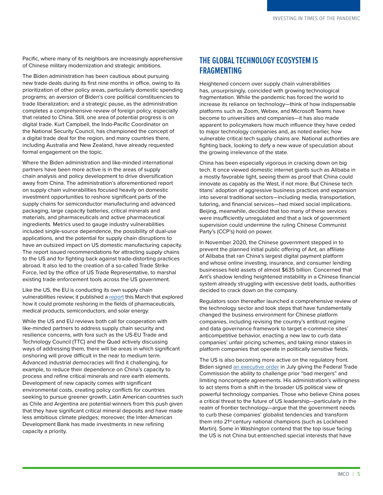Pacific, where many of its neighbors are increasingly apprehensive of Chinese military modernization and strategic ambitions.

The Biden administration has been cautious about pursuing new trade deals during its first nine months in office, owing to its prioritization of other policy areas, particularly domestic spending programs; an aversion of Biden's core political constituencies to trade liberalization; and a strategic pause, as the administration completes a comprehensive review of foreign policy, especially that related to China. Still, one area of potential progress is on digital trade. Kurt Campbell, the Indo-Pacific Coordinator on the National Security Council, has championed the concept of a digital trade deal for the region, and many countries there, including Australia and New Zealand, have already requested formal engagement on the topic.

Where the Biden administration and like-minded international partners have been more active is in the areas of supply chain analysis and policy development to drive diversification away from China. The administration's aforementioned report on supply chain vulnerabilities focused heavily on domestic investment opportunities to reshore significant parts of the supply chains for semiconductor manufacturing and advanced packaging, large capacity batteries, critical minerals and materials, and pharmaceuticals and active pharmaceutical ingredients. Metrics used to gauge industry vulnerabilities included single-source dependence, the possibility of dual-use applications, and the potential for supply chain disruptions to have an outsized impact on US domestic manufacturing capacity. The report issued recommendations for attracting supply chains to the US and for fighting back against trade-distorting practices abroad. It also led to the creation of a so-called Trade Strike Force, led by the office of US Trade Representative, to marshal existing trade enforcement tools across the US government.

Like the US, the EU is conducting its own supply chain vulnerabilities review; it published a [report](https://www.europarl.europa.eu/RegData/etudes/STUD/2021/653626/EXPO_STU(2021)653626_EN.pdf) this March that explored how it could promote reshoring in the fields of pharmaceuticals, medical products, semiconductors, and solar energy.

While the US and EU reviews both call for cooperation with like-minded partners to address supply chain security and resilience concerns, with fora such as the US-EU Trade and Technology Council (TTC) and the Quad actively discussing ways of addressing them, there will be areas in which significant onshoring will prove difficult in the near to medium term. Advanced industrial democracies will find it challenging, for example, to reduce their dependence on China's capacity to process and refine critical minerals and rare earth elements. Development of new capacity comes with significant environmental costs, creating policy conflicts for countries seeking to pursue greener growth. Latin American countries such as Chile and Argentina are potential winners from this push given that they have significant critical mineral deposits and have made less ambitious climate pledges; moreover, the Inter-American Development Bank has made investments in new refining capacity a priority.

#### **THE GLOBAL TECHNOLOGY ECOSYSTEM IS FRAGMENTING**

Heightened concern over supply chain vulnerabilities has, unsurprisingly, coincided with growing technological fragmentation. While the pandemic has forced the world to increase its reliance on technology—think of how indispensable platforms such as Zoom, Webex, and Microsoft Teams have become to universities and companies—it has also made apparent to policymakers how much influence they have ceded to major technology companies and, as noted earlier, how vulnerable critical tech supply chains are. National authorities are fighting back, looking to defy a new wave of speculation about the growing irrelevance of the state.

China has been especially vigorous in cracking down on big tech. It once viewed domestic internet giants such as Alibaba in a mostly favorable light, seeing them as proof that China could innovate as capably as the West, if not more. But Chinese tech titans' adoption of aggressive business practices and expansion into several traditional sectors—including media, transportation, tutoring, and financial services—had mixed social implications. Beijing, meanwhile, decided that too many of these services were insufficiently unregulated and that a lack of government supervision could undermine the ruling Chinese Communist Party's (CCP's) hold on power.

In November 2020, the Chinese government stepped in to prevent the planned initial public offering of Ant, an affiliate of Alibaba that ran China's largest digital payment platform and whose online investing, insurance, and consumer lending businesses held assets of almost \$635 billion. Concerned that Ant's shadow lending heightened instability in a Chinese financial system already struggling with excessive debt loads, authorities decided to crack down on the company.

Regulators soon thereafter launched a comprehensive review of the technology sector and took steps that have fundamentally changed the business environment for Chinese platform companies, including revising the country's antitrust regime and data governance framework to target e-commerce sites' anticompetitive behavior, enacting a new law to curb data companies' unfair pricing schemes, and taking minor stakes in platform companies that operate in politically sensitive fields.

The US is also becoming more active on the regulatory front. Biden signed [an executive order](https://www.whitehouse.gov/briefing-room/statements-releases/2021/07/09/fact-sheet-executive-order-on-promoting-competition-in-the-american-economy/) in July giving the Federal Trade Commission the ability to challenge prior "bad mergers" and limiting noncompete agreements. His administration's willingness to act stems from a shift in the broader US political view of powerful technology companies. Those who believe China poses a critical threat to the future of US leadership—particularly in the realm of frontier technology—argue that the government needs to curb these companies' globalist tendencies and transform them into 21st-century national champions (such as Lockheed Martin). Some in Washington contend that the top issue facing the US is not China but entrenched special interests that have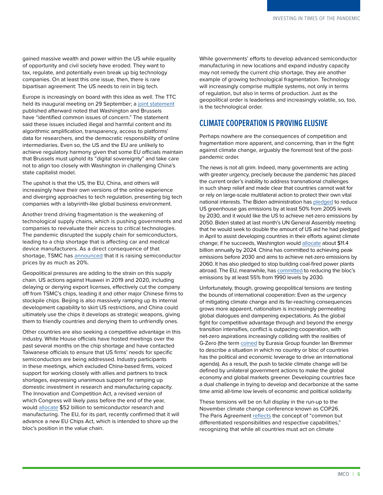gained massive wealth and power within the US while equality of opportunity and civil society have eroded. They want to tax, regulate, and potentially even break up big technology companies. On at least this one issue, then, there is rare bipartisan agreement: The US needs to rein in big tech.

Europe is increasingly on board with this idea as well. The TTC held its inaugural meeting on 29 September; a [joint statement](https://www.whitehouse.gov/briefing-room/statements-releases/2021/09/29/u-s-eu-trade-and-technology-council-inaugural-joint-statement/) published afterward noted that Washington and Brussels have "identified common issues of concern." The statement said these issues included illegal and harmful content and its algorithmic amplification, transparency, access to platforms' data for researchers, and the democratic responsibility of online intermediaries. Even so, the US and the EU are unlikely to achieve regulatory harmony given that some EU officials maintain that Brussels must uphold its "digital sovereignty" and take care not to align too closely with Washington in challenging China's state capitalist model.

The upshot is that the US, the EU, China, and others will increasingly have their own versions of the online experience and diverging approaches to tech regulation, presenting big tech companies with a labyrinth-like global business environment.

Another trend driving fragmentation is the weakening of technological supply chains, which is pushing governments and companies to reevaluate their access to critical technologies. The pandemic disrupted the supply chain for semiconductors, leading to a chip shortage that is affecting car and medical device manufacturers. As a direct consequence of that shortage, TSMC has [announced](https://www.wsj.com/articles/worlds-largest-chip-maker-to-raise-prices-threatening-costlier-electronics-11629978308) that it is raising semiconductor prices by as much as 20%.

Geopolitical pressures are adding to the strain on this supply chain. US actions against Huawei in 2019 and 2020, including delaying or denying export licenses, effectively cut the company off from TSMC's chips, leading it and other major Chinese firms to stockpile chips. Beijing is also massively ramping up its internal development capability to skirt US restrictions, and China could ultimately use the chips it develops as strategic weapons, giving them to friendly countries and denying them to unfriendly ones.

Other countries are also seeking a competitive advantage in this industry. White House officials have hosted meetings over the past several months on the chip shortage and have contacted Taiwanese officials to ensure that US firms' needs for specific semiconductors are being addressed. Industry participants in these meetings, which excluded China-based firms, voiced support for working closely with allies and partners to track shortages, expressing unanimous support for ramping up domestic investment in research and manufacturing capacity. The Innovation and Competition Act, a revised version of which Congress will likely pass before the end of the year, would [allocate](https://www.semiconductors.org/senate-passage-of-usica-marks-major-step-toward-enacting-needed-semiconductor-investments/) \$52 billion to semiconductor research and manufacturing. The EU, for its part, recently confirmed that it will advance a new EU Chips Act, which is intended to shore up the bloc's position in the value chain.

While governments' efforts to develop advanced semiconductor manufacturing in new locations and expand industry capacity may not remedy the current chip shortage, they are another example of growing technological fragmentation. Technology will increasingly comprise multiple systems, not only in terms of regulation, but also in terms of production. Just as the geopolitical order is leaderless and increasingly volatile, so, too, is the technological order.

#### **CLIMATE COOPERATION IS PROVING ELUSIVE**

Perhaps nowhere are the consequences of competition and fragmentation more apparent, and concerning, than in the fight against climate change, arguably the foremost test of the postpandemic order.

The news is not all grim. Indeed, many governments are acting with greater urgency, precisely because the pandemic has placed the current order's inability to address transnational challenges in such sharp relief and made clear that countries cannot wait for or rely on large-scale multilateral action to protect their own vital national interests. The Biden administration has [pledged](https://www.whitehouse.gov/briefing-room/statements-releases/2021/04/22/fact-sheet-president-biden-sets-2030-greenhouse-gas-pollution-reduction-target-aimed-at-creating-good-paying-union-jobs-and-securing-u-s-leadership-on-clean-energy-technologies/) to reduce US greenhouse gas emissions by at least 50% from 2005 levels by 2030, and it would like the US to achieve net-zero emissions by 2050. Biden stated at last month's UN General Assembly meeting that he would seek to double the amount of US aid he had pledged in April to assist developing countries in their efforts against climate change; if he succeeds, Washington would [allocate](https://www.nytimes.com/2021/09/21/climate/climate-biden-un-general-assembly.html) about \$11.4 billion annually by 2024. China has committed to achieving peak emissions before 2030 and aims to achieve net-zero emissions by 2060. It has also pledged to stop building coal-fired power plants abroad. The EU, meanwhile, has [committed](https://ec.europa.eu/clima/policies/eu-climate-action/2030_ctp_en) to reducing the bloc's emissions by at least 55% from 1990 levels by 2030.

Unfortunately, though, growing geopolitical tensions are testing the bounds of international cooperation: Even as the urgency of mitigating climate change and its far-reaching consequences grows more apparent, nationalism is increasingly permeating global dialogues and dampening expectations. As the global fight for competitive advantage through and beyond the energy transition intensifies, conflict is outpacing cooperation, with net-zero aspirations increasingly colliding with the realities of G-Zero (the term [coined](https://foreignpolicy.com/2011/01/07/g-zero/) by Eurasia Group founder Ian Bremmer to describe a situation in which no country or bloc of countries has the political and economic leverage to drive an international agenda). As a result, the push to tackle climate change will be defined by unilateral government actions to make the global economy and global markets greener. Developing countries face a dual challenge in trying to develop and decarbonize at the same time amid all-time low levels of economic and political solidarity.

These tensions will be on full display in the run-up to the November climate change conference known as COP26. The Paris Agreement [reflects](https://unfccc.int/resource/docs/convkp/conveng.pdf) the concept of "common but differentiated responsibilities and respective capabilities," recognizing that while all countries must act on climate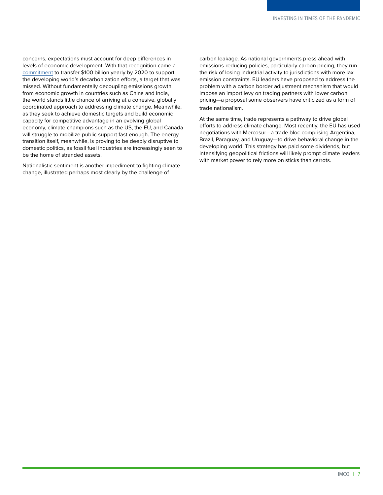concerns, expectations must account for deep differences in levels of economic development. With that recognition came a [commitment](https://unfccc.int/resource/docs/2009/cop15/eng/11a01.pdf) to transfer \$100 billion yearly by 2020 to support the developing world's decarbonization efforts, a target that was missed. Without fundamentally decoupling emissions growth from economic growth in countries such as China and India, the world stands little chance of arriving at a cohesive, globally coordinated approach to addressing climate change. Meanwhile, as they seek to achieve domestic targets and build economic capacity for competitive advantage in an evolving global economy, climate champions such as the US, the EU, and Canada will struggle to mobilize public support fast enough. The energy transition itself, meanwhile, is proving to be deeply disruptive to domestic politics, as fossil fuel industries are increasingly seen to be the home of stranded assets.

Nationalistic sentiment is another impediment to fighting climate change, illustrated perhaps most clearly by the challenge of

carbon leakage. As national governments press ahead with emissions-reducing policies, particularly carbon pricing, they run the risk of losing industrial activity to jurisdictions with more lax emission constraints. EU leaders have proposed to address the problem with a carbon border adjustment mechanism that would impose an import levy on trading partners with lower carbon pricing—a proposal some observers have criticized as a form of trade nationalism.

At the same time, trade represents a pathway to drive global efforts to address climate change. Most recently, the EU has used negotiations with Mercosur—a trade bloc comprising Argentina, Brazil, Paraguay, and Uruguay—to drive behavioral change in the developing world. This strategy has paid some dividends, but intensifying geopolitical frictions will likely prompt climate leaders with market power to rely more on sticks than carrots.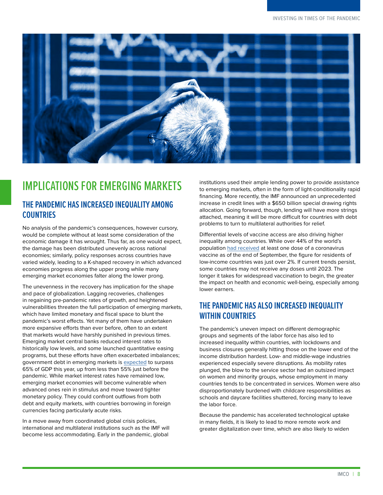<span id="page-8-1"></span>

### <span id="page-8-0"></span>IMPLICATIONS FOR EMERGING MARKETS

#### **THE PANDEMIC HAS INCREASED INEQUALITY AMONG COUNTRIES**

No analysis of the pandemic's consequences, however cursory, would be complete without at least some consideration of the economic damage it has wrought. Thus far, as one would expect, the damage has been distributed unevenly across national economies; similarly, policy responses across countries have varied widely, leading to a K-shaped recovery in which advanced economies progress along the upper prong while many emerging market economies falter along the lower prong.

The unevenness in the recovery has implication for the shape and pace of globalization. Lagging recoveries, challenges in regaining pre-pandemic rates of growth, and heightened vulnerabilities threaten the full participation of emerging markets, which have limited monetary and fiscal space to blunt the pandemic's worst effects. Yet many of them have undertaken more expansive efforts than ever before, often to an extent that markets would have harshly punished in previous times. Emerging market central banks reduced interest rates to historically low levels, and some launched quantitative easing programs, but these efforts have often exacerbated imbalances; government debt in emerging markets is [expected](https://www.imf.org/-/media/Files/Publications/fiscal-monitor/2021/April/English/text.ashx) to surpass 65% of GDP this year, up from less than 55% just before the pandemic. While market interest rates have remained low, emerging market economies will become vulnerable when advanced ones rein in stimulus and move toward tighter monetary policy. They could confront outflows from both debt and equity markets, with countries borrowing in foreign currencies facing particularly acute risks.

In a move away from coordinated global crisis policies, international and multilateral institutions such as the IMF will become less accommodating. Early in the pandemic, global

institutions used their ample lending power to provide assistance to emerging markets, often in the form of light-conditionality rapid financing. More recently, the IMF announced an unprecedented increase in credit lines with a \$650 billion special drawing rights allocation. Going forward, though, lending will have more strings attached, meaning it will be more difficult for countries with debt problems to turn to multilateral authorities for relief.

Differential levels of vaccine access are also driving higher inequality among countries. While over 44% of the world's population [had received](https://ourworldindata.org/covid-vaccinations) at least one dose of a coronavirus vaccine as of the end of September, the figure for residents of low-income countries was just over 2%. If current trends persist, some countries may not receive any doses until 2023. The longer it takes for widespread vaccination to begin, the greater the impact on health and economic well-being, especially among lower earners.

#### **THE PANDEMIC HAS ALSO INCREASED INEQUALITY WITHIN COUNTRIES**

The pandemic's uneven impact on different demographic groups and segments of the labor force has also led to increased inequality within countries, with lockdowns and business closures generally hitting those on the lower end of the income distribution hardest. Low- and middle-wage industries experienced especially severe disruptions. As mobility rates plunged, the blow to the service sector had an outsized impact on women and minority groups, whose employment in many countries tends to be concentrated in services. Women were also disproportionately burdened with childcare responsibilities as schools and daycare facilities shuttered, forcing many to leave the labor force.

Because the pandemic has accelerated technological uptake in many fields, it is likely to lead to more remote work and greater digitalization over time, which are also likely to widen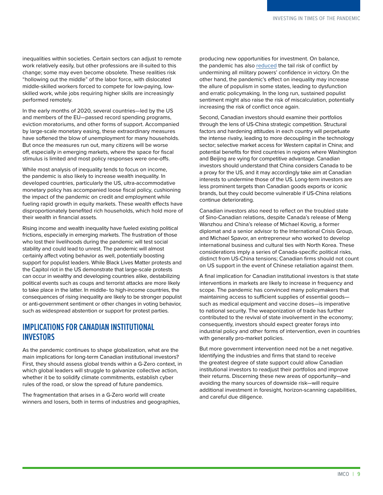inequalities within societies. Certain sectors can adjust to remote work relatively easily, but other professions are ill-suited to this change; some may even become obsolete. These realities risk "hollowing out the middle" of the labor force, with dislocated middle-skilled workers forced to compete for low-paying, lowskilled work, while jobs requiring higher skills are increasingly performed remotely.

In the early months of 2020, several countries—led by the US and members of the EU—passed record spending programs, eviction moratoriums, and other forms of support. Accompanied by large-scale monetary easing, these extraordinary measures have softened the blow of unemployment for many households. But once the measures run out, many citizens will be worse off, especially in emerging markets, where the space for fiscal stimulus is limited and most policy responses were one-offs.

While most analysis of inequality tends to focus on income, the pandemic is also likely to increase wealth inequality. In developed countries, particularly the US, ultra-accommodative monetary policy has accompanied loose fiscal policy, cushioning the impact of the pandemic on credit and employment while fueling rapid growth in equity markets. These wealth effects have disproportionately benefited rich households, which hold more of their wealth in financial assets.

Rising income and wealth inequality have fueled existing political frictions, especially in emerging markets. The frustration of those who lost their livelihoods during the pandemic will test social stability and could lead to unrest. The pandemic will almost certainly affect voting behavior as well, potentially boosting support for populist leaders. While Black Lives Matter protests and the Capitol riot in the US demonstrate that large-scale protests can occur in wealthy and developing countries alike, destabilizing political events such as coups and terrorist attacks are more likely to take place in the latter. In middle- to high-income countries, the consequences of rising inequality are likely to be stronger populist or anti-government sentiment or other changes in voting behavior, such as widespread abstention or support for protest parties.

#### **IMPLICATIONS FOR CANADIAN INSTITUTIONAL INVESTORS**

As the pandemic continues to shape globalization, what are the main implications for long-term Canadian institutional investors? First, they should assess global trends within a G-Zero context, in which global leaders will struggle to galvanize collective action, whether it be to solidify climate commitments, establish cyber rules of the road, or slow the spread of future pandemics.

The fragmentation that arises in a G-Zero world will create winners and losers, both in terms of industries and geographies, producing new opportunities for investment. On balance, the pandemic has also [reduced](https://www.eurasiagroup.net/files/upload/International-System-Covid-19-Bipolarity-Aspenia.pdf) the tail risk of conflict by undermining all military powers' confidence in victory. On the other hand, the pandemic's effect on inequality may increase the allure of populism in some states, leading to dysfunction and erratic policymaking. In the long run, sustained populist sentiment might also raise the risk of miscalculation, potentially increasing the risk of conflict once again.

Second, Canadian investors should examine their portfolios through the lens of US-China strategic competition. Structural factors and hardening attitudes in each country will perpetuate the intense rivalry, leading to more decoupling in the technology sector; selective market access for Western capital in China; and potential benefits for third countries in regions where Washington and Beijing are vying for competitive advantage. Canadian investors should understand that China considers Canada to be a proxy for the US, and it may accordingly take aim at Canadian interests to undermine those of the US. Long-term investors are less prominent targets than Canadian goods exports or iconic brands, but they could become vulnerable if US-China relations continue deteriorating.

Canadian investors also need to reflect on the troubled state of Sino-Canadian relations, despite Canada's release of Meng Wanzhou and China's release of Michael Kovrig, a former diplomat and a senior advisor to the International Crisis Group, and Michael Spavor, an entrepreneur who worked to develop international business and cultural ties with North Korea. These considerations imply a series of Canada-specific political risks, distinct from US-China tensions; Canadian firms should not count on US support in the event of Chinese retaliation against them.

A final implication for Canadian institutional investors is that state interventions in markets are likely to increase in frequency and scope. The pandemic has convinced many policymakers that maintaining access to sufficient supplies of essential goods such as medical equipment and vaccine doses—is imperative to national security. The weaponization of trade has further contributed to the revival of state involvement in the economy; consequently, investors should expect greater forays into industrial policy and other forms of intervention, even in countries with generally pro-market policies.

But more government intervention need not be a net negative. Identifying the industries and firms that stand to receive the greatest degree of state support could allow Canadian institutional investors to readjust their portfolios and improve their returns. Discerning these new areas of opportunity—and avoiding the many sources of downside risk—will require additional investment in foresight, horizon-scanning capabilities, and careful due diligence.